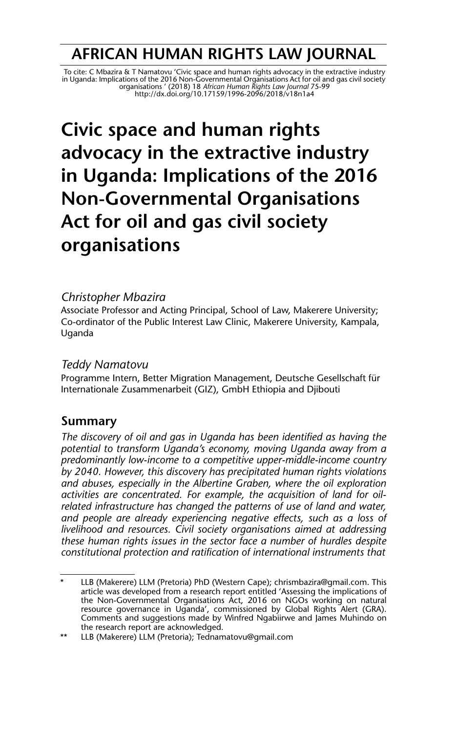## **AFRICAN HUMAN RIGHTS LAW JOURNAL**

To cite: C Mbazira & T Namatovu 'Civic space and human rights advocacy in the extractive industry<br>in Uganda: Implications of the 2016 Non-Governmental Organisations Act for oil and gas civil society<br>organisations / 2018) 1 http://dx.doi.org/10.17159/1996-2096/2018/v18n1a4

# **Civic space and human rights advocacy in the extractive industry in Uganda: Implications of the 2016 Non-Governmental Organisations Act for oil and gas civil society organisations**

#### *Christopher Mbazira*

Associate Professor and Acting Principal, School of Law, Makerere University; Co-ordinator of the Public Interest Law Clinic, Makerere University, Kampala, Uganda

#### *Teddy Namatovu*

Programme Intern, Better Migration Management, Deutsche Gesellschaft für Internationale Zusammenarbeit (GIZ), GmbH Ethiopia and Djibouti

## **Summary**

*The discovery of oil and gas in Uganda has been identified as having the potential to transform Uganda's economy, moving Uganda away from a predominantly low-income to a competitive upper-middle-income country by 2040. However, this discovery has precipitated human rights violations and abuses, especially in the Albertine Graben, where the oil exploration activities are concentrated. For example, the acquisition of land for oilrelated infrastructure has changed the patterns of use of land and water, and people are already experiencing negative effects, such as a loss of livelihood and resources. Civil society organisations aimed at addressing these human rights issues in the sector face a number of hurdles despite constitutional protection and ratification of international instruments that*

LLB (Makerere) LLM (Pretoria) PhD (Western Cape); chrismbazira@gmail.com. This article was developed from a research report entitled 'Assessing the implications of the Non-Governmental Organisations Act, 2016 on NGOs working on natural resource governance in Uganda', commissioned by Global Rights Alert (GRA). Comments and suggestions made by Winfred Ngabiirwe and James Muhindo on the research report are acknowledged.

<sup>\*\*</sup> LLB (Makerere) LLM (Pretoria); Tednamatovu@gmail.com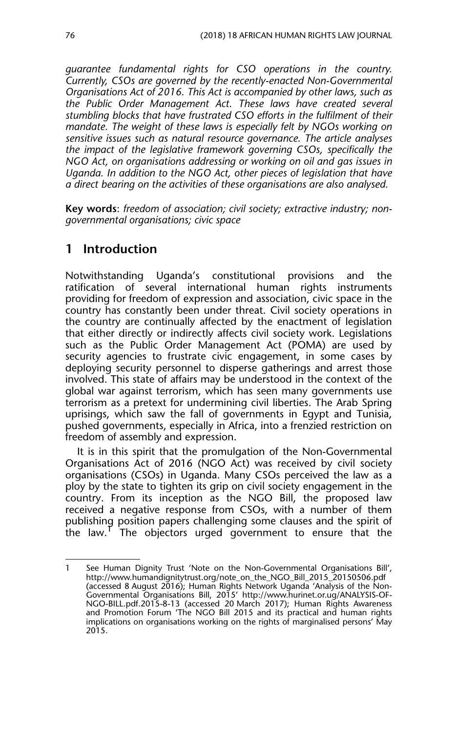*guarantee fundamental rights for CSO operations in the country. Currently, CSOs are governed by the recently-enacted Non-Governmental Organisations Act of 2016. This Act is accompanied by other laws, such as the Public Order Management Act. These laws have created several stumbling blocks that have frustrated CSO efforts in the fulfilment of their mandate. The weight of these laws is especially felt by NGOs working on sensitive issues such as natural resource governance. The article analyses the impact of the legislative framework governing CSOs, specifically the NGO Act, on organisations addressing or working on oil and gas issues in Uganda. In addition to the NGO Act, other pieces of legislation that have a direct bearing on the activities of these organisations are also analysed.*

**Key words**: *freedom of association; civil society; extractive industry; nongovernmental organisations; civic space*

## **1 Introduction**

Notwithstanding Uganda's constitutional provisions and the ratification of several international human rights instruments providing for freedom of expression and association, civic space in the country has constantly been under threat. Civil society operations in the country are continually affected by the enactment of legislation that either directly or indirectly affects civil society work. Legislations such as the Public Order Management Act (POMA) are used by security agencies to frustrate civic engagement, in some cases by deploying security personnel to disperse gatherings and arrest those involved. This state of affairs may be understood in the context of the global war against terrorism, which has seen many governments use terrorism as a pretext for undermining civil liberties. The Arab Spring uprisings, which saw the fall of governments in Egypt and Tunisia, pushed governments, especially in Africa, into a frenzied restriction on freedom of assembly and expression.

It is in this spirit that the promulgation of the Non-Governmental Organisations Act of 2016 (NGO Act) was received by civil society organisations (CSOs) in Uganda. Many CSOs perceived the law as a ploy by the state to tighten its grip on civil society engagement in the country. From its inception as the NGO Bill, the proposed law received a negative response from CSOs, with a number of them publishing position papers challenging some clauses and the spirit of the law.<sup>1</sup> The objectors urged government to ensure that the

<sup>1</sup> See Human Dignity Trust 'Note on the Non-Governmental Organisations Bill', http://www.humandignitytrust.org/note\_on\_the\_NGO\_Bill\_2015\_20150506.pdf (accessed 8 August 2016); Human Rights Network Uganda 'Analysis of the Non-Governmental Organisations Bill, 2015' http://www.hurinet.or.ug/ANALYSIS-OF-NGO-BILL.pdf.2015-8-13 (accessed 20 March 2017); Human Rights Awareness and Promotion Forum 'The NGO Bill 2015 and its practical and human rights implications on organisations working on the rights of marginalised persons' May 2015.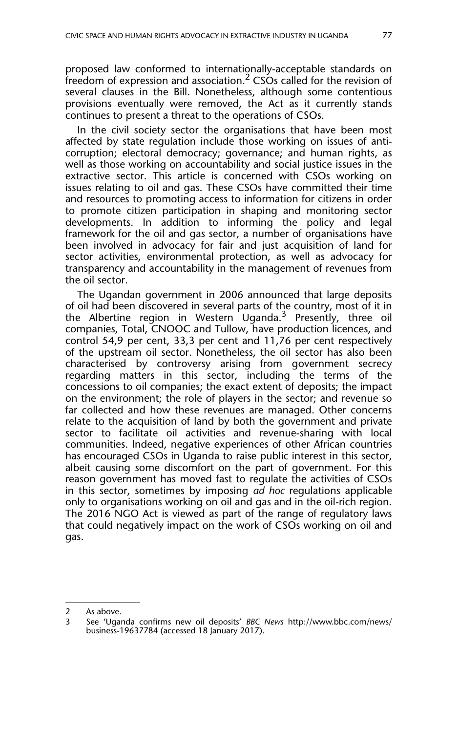proposed law conformed to internationally-acceptable standards on freedom of expression and association.<sup>2</sup> CSOs called for the revision of several clauses in the Bill. Nonetheless, although some contentious provisions eventually were removed, the Act as it currently stands continues to present a threat to the operations of CSOs.

In the civil society sector the organisations that have been most affected by state regulation include those working on issues of anticorruption; electoral democracy; governance; and human rights, as well as those working on accountability and social justice issues in the extractive sector. This article is concerned with CSOs working on issues relating to oil and gas. These CSOs have committed their time and resources to promoting access to information for citizens in order to promote citizen participation in shaping and monitoring sector developments. In addition to informing the policy and legal framework for the oil and gas sector, a number of organisations have been involved in advocacy for fair and just acquisition of land for sector activities, environmental protection, as well as advocacy for transparency and accountability in the management of revenues from the oil sector.

The Ugandan government in 2006 announced that large deposits of oil had been discovered in several parts of the country, most of it in the Albertine region in Western Uganda.<sup>3</sup> Presently, three oil companies, Total, CNOOC and Tullow, have production licences, and control 54,9 per cent, 33,3 per cent and 11,76 per cent respectively of the upstream oil sector. Nonetheless, the oil sector has also been characterised by controversy arising from government secrecy regarding matters in this sector, including the terms of the concessions to oil companies; the exact extent of deposits; the impact on the environment; the role of players in the sector; and revenue so far collected and how these revenues are managed. Other concerns relate to the acquisition of land by both the government and private sector to facilitate oil activities and revenue-sharing with local communities. Indeed, negative experiences of other African countries has encouraged CSOs in Uganda to raise public interest in this sector, albeit causing some discomfort on the part of government. For this reason government has moved fast to regulate the activities of CSOs in this sector, sometimes by imposing *ad hoc* regulations applicable only to organisations working on oil and gas and in the oil-rich region. The 2016 NGO Act is viewed as part of the range of regulatory laws that could negatively impact on the work of CSOs working on oil and gas.

<sup>2</sup> As above.<br>3 See Than

<sup>3</sup> See 'Uganda confirms new oil deposits' *BBC News* http://www.bbc.com/news/ business-19637784 (accessed 18 January 2017).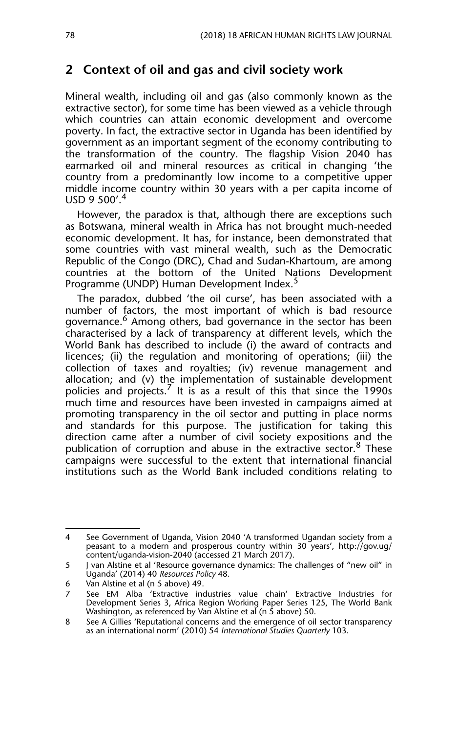## **2 Context of oil and gas and civil society work**

Mineral wealth, including oil and gas (also commonly known as the extractive sector), for some time has been viewed as a vehicle through which countries can attain economic development and overcome poverty. In fact, the extractive sector in Uganda has been identified by government as an important segment of the economy contributing to the transformation of the country. The flagship Vision 2040 has earmarked oil and mineral resources as critical in changing 'the country from a predominantly low income to a competitive upper middle income country within 30 years with a per capita income of USD 9 500'.<sup>4</sup>

However, the paradox is that, although there are exceptions such as Botswana, mineral wealth in Africa has not brought much-needed economic development. It has, for instance, been demonstrated that some countries with vast mineral wealth, such as the Democratic Republic of the Congo (DRC), Chad and Sudan-Khartoum, are among countries at the bottom of the United Nations Development Programme (UNDP) Human Development Index.<sup>5</sup>

The paradox, dubbed 'the oil curse', has been associated with a number of factors, the most important of which is bad resource governance.<sup>6</sup> Among others, bad governance in the sector has been characterised by a lack of transparency at different levels, which the World Bank has described to include (i) the award of contracts and licences; (ii) the regulation and monitoring of operations; (iii) the collection of taxes and royalties; (iv) revenue management and allocation; and (v) the implementation of sustainable development policies and projects.<sup>7</sup> It is as a result of this that since the 1990s much time and resources have been invested in campaigns aimed at promoting transparency in the oil sector and putting in place norms and standards for this purpose. The justification for taking this direction came after a number of civil society expositions and the publication of corruption and abuse in the extractive sector.  $8$  These campaigns were successful to the extent that international financial institutions such as the World Bank included conditions relating to

<sup>4</sup> See Government of Uganda, Vision 2040 'A transformed Ugandan society from a peasant to a modern and prosperous country within 30 years', http://gov.ug/ content/uganda-vision-2040 (accessed 21 March 2017).

<sup>5</sup> J van Alstine et al 'Resource governance dynamics: The challenges of "new oil" in Uganda' (2014) 40 *Resources Policy* 48.

<sup>6</sup> Van Alstine et al (n 5 above) 49.

See EM Alba 'Extractive industries value chain' Extractive Industries for Development Series 3, Africa Region Working Paper Series 125, The World Bank Washington, as referenced by Van Alstine et al (n 5 above) 50.

<sup>8</sup> See A Gillies 'Reputational concerns and the emergence of oil sector transparency as an international norm' (2010) 54 *International Studies Quarterly* 103.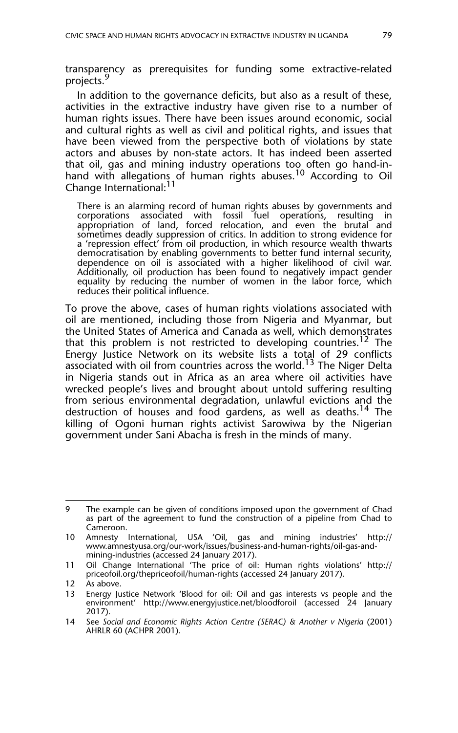transparency as prerequisites for funding some extractive-related projects.<sup>9</sup>

In addition to the governance deficits, but also as a result of these, activities in the extractive industry have given rise to a number of human rights issues. There have been issues around economic, social and cultural rights as well as civil and political rights, and issues that have been viewed from the perspective both of violations by state actors and abuses by non-state actors. It has indeed been asserted that oil, gas and mining industry operations too often go hand-inhand with allegations of human rights abuses.<sup>10</sup> According to Oil Change International:<sup>11</sup>

There is an alarming record of human rights abuses by governments and corporations associated with fossil fuel operations, resulting in appropriation of land, forced relocation, and even the brutal and sometimes deadly suppression of critics. In addition to strong evidence for a 'repression effect' from oil production, in which resource wealth thwarts democratisation by enabling governments to better fund internal security, dependence on oil is associated with a higher likelihood of civil war. Additionally, oil production has been found to negatively impact gender equality by reducing the number of women in the labor force, which reduces their political influence.

To prove the above, cases of human rights violations associated with oil are mentioned, including those from Nigeria and Myanmar, but the United States of America and Canada as well, which demonstrates that this problem is not restricted to developing countries.<sup>12</sup> The Energy Justice Network on its website lists a total of 29 conflicts associated with oil from countries across the world.<sup>13</sup> The Niger Delta in Nigeria stands out in Africa as an area where oil activities have wrecked people's lives and brought about untold suffering resulting from serious environmental degradation, unlawful evictions and the destruction of houses and food gardens, as well as deaths.<sup>14</sup> The killing of Ogoni human rights activist Sarowiwa by the Nigerian government under Sani Abacha is fresh in the minds of many.

<sup>9</sup> The example can be given of conditions imposed upon the government of Chad as part of the agreement to fund the construction of a pipeline from Chad to Cameroon.

<sup>10</sup> Amnesty International, USA 'Oil, gas and mining industries' http:// www.amnestyusa.org/our-work/issues/business-and-human-rights/oil-gas-andmining-industries (accessed 24 January 2017).

<sup>11</sup> Oil Change International 'The price of oil: Human rights violations' http:// priceofoil.org/thepriceofoil/human-rights (accessed 24 January 2017).

<sup>12</sup> As above.

<sup>13</sup> Energy Justice Network 'Blood for oil: Oil and gas interests vs people and the environment' http://www.energyjustice.net/bloodforoil (accessed 24 January 2017).

<sup>14</sup> See *Social and Economic Rights Action Centre (SERAC) & Another v Nigeria* (2001) AHRLR 60 (ACHPR 2001)*.*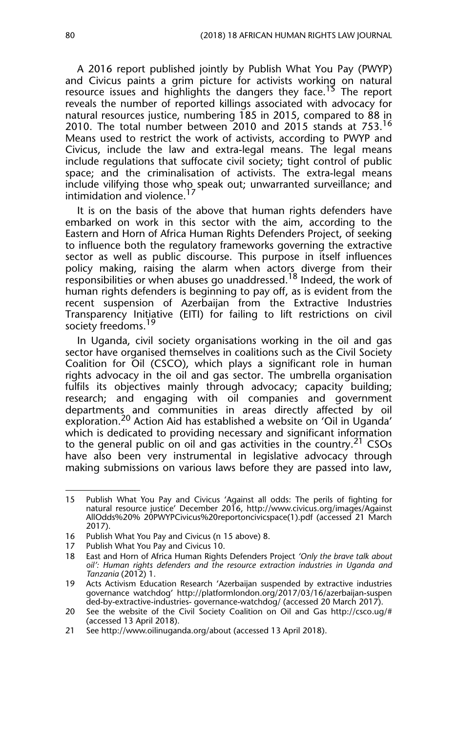A 2016 report published jointly by Publish What You Pay (PWYP) and Civicus paints a grim picture for activists working on natural resource issues and highlights the dangers they face.<sup>13</sup> The report reveals the number of reported killings associated with advocacy for natural resources justice, numbering 185 in 2015, compared to 88 in 2010. The total number between 2010 and 2015 stands at 753.16 Means used to restrict the work of activists, according to PWYP and Civicus, include the law and extra-legal means. The legal means include regulations that suffocate civil society; tight control of public space; and the criminalisation of activists. The extra-legal means include vilifying those who speak out; unwarranted surveillance; and intimidation and violence.<sup>17</sup>

It is on the basis of the above that human rights defenders have embarked on work in this sector with the aim, according to the Eastern and Horn of Africa Human Rights Defenders Project, of seeking to influence both the regulatory frameworks governing the extractive sector as well as public discourse. This purpose in itself influences policy making, raising the alarm when actors diverge from their responsibilities or when abuses go unaddressed.<sup>18</sup> Indeed, the work of human rights defenders is beginning to pay off, as is evident from the recent suspension of Azerbaijan from the Extractive Industries Transparency Initiative (EITI) for failing to lift restrictions on civil society freedoms.<sup>19</sup>

In Uganda, civil society organisations working in the oil and gas sector have organised themselves in coalitions such as the Civil Society Coalition for Oil (CSCO), which plays a significant role in human rights advocacy in the oil and gas sector. The umbrella organisation fulfils its objectives mainly through advocacy; capacity building; research; and engaging with oil companies and government departments and communities in areas directly affected by oil exploration.<sup>20</sup> Action Aid has established a website on 'Oil in Uganda' which is dedicated to providing necessary and significant information to the general public on oil and gas activities in the country.<sup>21</sup> CSOs have also been very instrumental in legislative advocacy through making submissions on various laws before they are passed into law,

<sup>15</sup> Publish What You Pay and Civicus 'Against all odds: The perils of fighting for natural resource justice' December 2016, http://www.civicus.org/images/Against AllOdds%20% 20PWYPCivicus%20reportoncivicspace(1).pdf (accessed 21 March 2017).

<sup>16</sup> Publish What You Pay and Civicus (n 15 above) 8.

<sup>17</sup> Publish What You Pay and Civicus 10.<br>18 East and Horn of Africa Human Rights

<sup>18</sup> East and Horn of Africa Human Rights Defenders Project *'Only the brave talk about oil': Human rights defenders and the resource extraction industries in Uganda and Tanzania* (2012) 1.

<sup>19</sup> Acts Activism Education Research 'Azerbaijan suspended by extractive industries governance watchdog' http://platformlondon.org/2017/03/16/azerbaijan-suspen ded-by-extractive-industries- governance-watchdog/ (accessed 20 March 2017).

<sup>20</sup> See the website of the Civil Society Coalition on Oil and Gas http://csco.ug/# (accessed 13 April 2018).

<sup>21</sup> See http://www.oilinuganda.org/about (accessed 13 April 2018).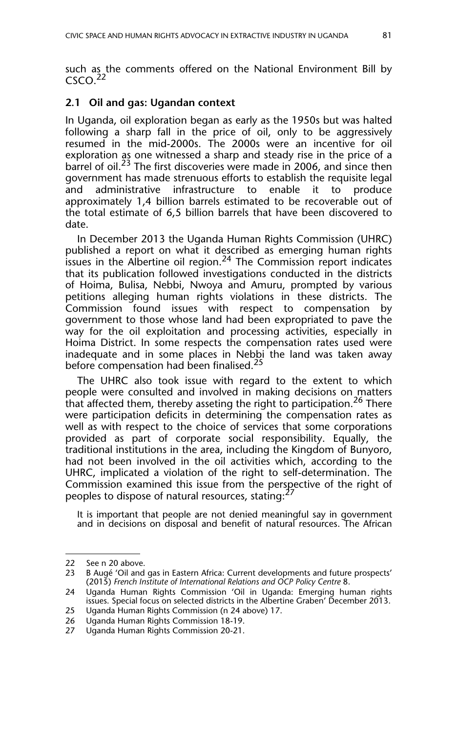such as the comments offered on the National Environment Bill by  $C<sub>SCO</sub>$ <sup>22</sup>

#### **2.1 Oil and gas: Ugandan context**

In Uganda, oil exploration began as early as the 1950s but was halted following a sharp fall in the price of oil, only to be aggressively resumed in the mid-2000s. The 2000s were an incentive for oil exploration as one witnessed a sharp and steady rise in the price of a barrel of oil.<sup>23</sup> The first discoveries were made in 2006, and since then government has made strenuous efforts to establish the requisite legal and administrative infrastructure to enable it to produce approximately 1,4 billion barrels estimated to be recoverable out of the total estimate of 6,5 billion barrels that have been discovered to date.

In December 2013 the Uganda Human Rights Commission (UHRC) published a report on what it described as emerging human rights issues in the Albertine oil region.<sup>24</sup> The Commission report indicates that its publication followed investigations conducted in the districts of Hoima, Bulisa, Nebbi, Nwoya and Amuru, prompted by various petitions alleging human rights violations in these districts. The Commission found issues with respect to compensation by government to those whose land had been expropriated to pave the way for the oil exploitation and processing activities, especially in Hoima District. In some respects the compensation rates used were inadequate and in some places in Nebbi the land was taken away before compensation had been finalised.<sup>25</sup>

The UHRC also took issue with regard to the extent to which people were consulted and involved in making decisions on matters that affected them, thereby asseting the right to participation.<sup>26</sup> There were participation deficits in determining the compensation rates as well as with respect to the choice of services that some corporations provided as part of corporate social responsibility. Equally, the traditional institutions in the area, including the Kingdom of Bunyoro, had not been involved in the oil activities which, according to the UHRC, implicated a violation of the right to self-determination. The Commission examined this issue from the perspective of the right of peoples to dispose of natural resources, stating:<sup>27</sup>

It is important that people are not denied meaningful say in government and in decisions on disposal and benefit of natural resources. The African

<sup>22</sup> See n 20 above.<br>23 B Augé 'Oil and

B Augé 'Oil and gas in Eastern Africa: Current developments and future prospects' (2015) *French Institute of International Relations and OCP Policy Centre* 8.

<sup>24</sup> Uganda Human Rights Commission 'Oil in Uganda: Emerging human rights issues. Special focus on selected districts in the Albertine Graben' December 2013.

<sup>25</sup> Uganda Human Rights Commission (n 24 above) 17.

<sup>26</sup> Uganda Human Rights Commission 18-19.

<sup>27</sup> Uganda Human Rights Commission 20-21.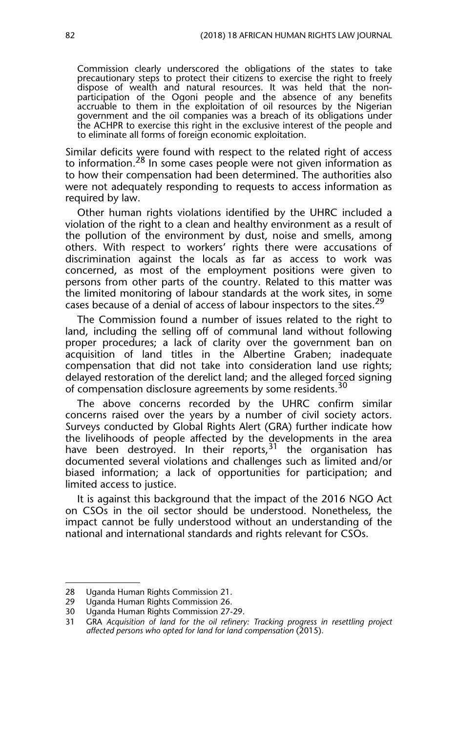Commission clearly underscored the obligations of the states to take precautionary steps to protect their citizens to exercise the right to freely dispose of wealth and natural resources. It was held that the nonparticipation of the Ogoni people and the absence of any benefits accruable to them in the exploitation of oil resources by the Nigerian government and the oil companies was a breach of its obligations under the ACHPR to exercise this right in the exclusive interest of the people and to eliminate all forms of foreign economic exploitation.

Similar deficits were found with respect to the related right of access to information.<sup>28</sup> In some cases people were not given information as to how their compensation had been determined. The authorities also were not adequately responding to requests to access information as required by law.

Other human rights violations identified by the UHRC included a violation of the right to a clean and healthy environment as a result of the pollution of the environment by dust, noise and smells, among others. With respect to workers' rights there were accusations of discrimination against the locals as far as access to work was concerned, as most of the employment positions were given to persons from other parts of the country. Related to this matter was the limited monitoring of labour standards at the work sites, in some cases because of a denial of access of labour inspectors to the sites.<sup>29</sup>

The Commission found a number of issues related to the right to land, including the selling off of communal land without following proper procedures; a lack of clarity over the government ban on acquisition of land titles in the Albertine Graben; inadequate compensation that did not take into consideration land use rights; delayed restoration of the derelict land; and the alleged forced signing of compensation disclosure agreements by some residents.<sup>30</sup>

The above concerns recorded by the UHRC confirm similar concerns raised over the years by a number of civil society actors. Surveys conducted by Global Rights Alert (GRA) further indicate how the livelihoods of people affected by the developments in the area have been destroyed. In their reports,  $31$  the organisation has documented several violations and challenges such as limited and/or biased information; a lack of opportunities for participation; and limited access to justice.

It is against this background that the impact of the 2016 NGO Act on CSOs in the oil sector should be understood. Nonetheless, the impact cannot be fully understood without an understanding of the national and international standards and rights relevant for CSOs.

<sup>28</sup> Uganda Human Rights Commission 21.

<sup>29</sup> Uganda Human Rights Commission 26.

<sup>30</sup> Uganda Human Rights Commission 27-29.<br>31 CRA Acquisition of land for the oil refinery

GRA Acquisition of land for the oil refinery: Tracking progress in resettling project *affected persons who opted for land for land compensation* (2015).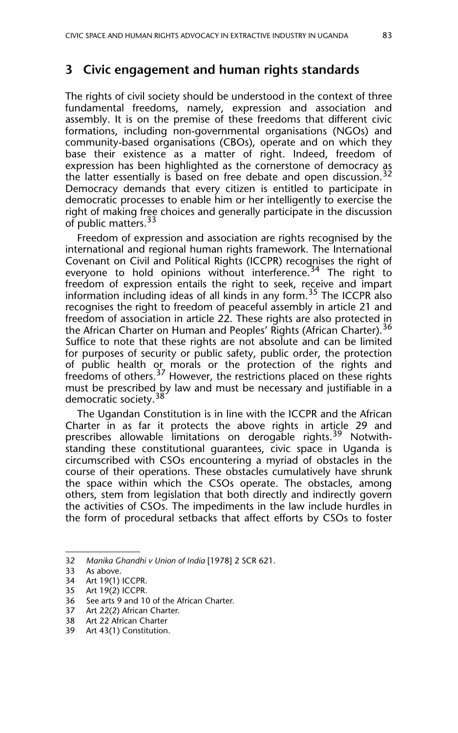### **3 Civic engagement and human rights standards**

The rights of civil society should be understood in the context of three fundamental freedoms, namely, expression and association and assembly. It is on the premise of these freedoms that different civic formations, including non-governmental organisations (NGOs) and community-based organisations (CBOs), operate and on which they base their existence as a matter of right. Indeed, freedom of expression has been highlighted as the cornerstone of democracy as the latter essentially is based on free debate and open discussion.<sup>32</sup> Democracy demands that every citizen is entitled to participate in democratic processes to enable him or her intelligently to exercise the right of making free choices and generally participate in the discussion of public matters.<sup>33</sup>

Freedom of expression and association are rights recognised by the international and regional human rights framework. The International Covenant on Civil and Political Rights (ICCPR) recognises the right of everyone to hold opinions without interference.<sup>34</sup> The right to freedom of expression entails the right to seek, receive and impart information including ideas of all kinds in any form.<sup>35</sup> The ICCPR also recognises the right to freedom of peaceful assembly in article 21 and freedom of association in article 22. These rights are also protected in the African Charter on Human and Peoples' Rights (African Charter).<sup>36</sup> Suffice to note that these rights are not absolute and can be limited for purposes of security or public safety, public order, the protection of public health or morals or the protection of the rights and freedoms of others.<sup>37</sup> However, the restrictions placed on these rights must be prescribed by law and must be necessary and justifiable in a democratic society.<sup>38</sup>

The Ugandan Constitution is in line with the ICCPR and the African Charter in as far it protects the above rights in article 29 and prescribes allowable limitations on derogable rights.<sup>39</sup> Notwithstanding these constitutional guarantees, civic space in Uganda is circumscribed with CSOs encountering a myriad of obstacles in the course of their operations. These obstacles cumulatively have shrunk the space within which the CSOs operate. The obstacles, among others, stem from legislation that both directly and indirectly govern the activities of CSOs. The impediments in the law include hurdles in the form of procedural setbacks that affect efforts by CSOs to foster

<sup>32</sup> *Manika Ghandhi v Union of India* [1978] 2 SCR 621.

<sup>33</sup> As above.

<sup>34</sup> Art 19(1) ICCPR.

<sup>35</sup> Art 19(2) ICCPR.

<sup>36</sup> See arts 9 and 10 of the African Charter.<br>37 Art 22(2) African Charter.

Art 22(2) African Charter.

<sup>38</sup> Art 22 African Charter

<sup>39</sup> Art 43(1) Constitution.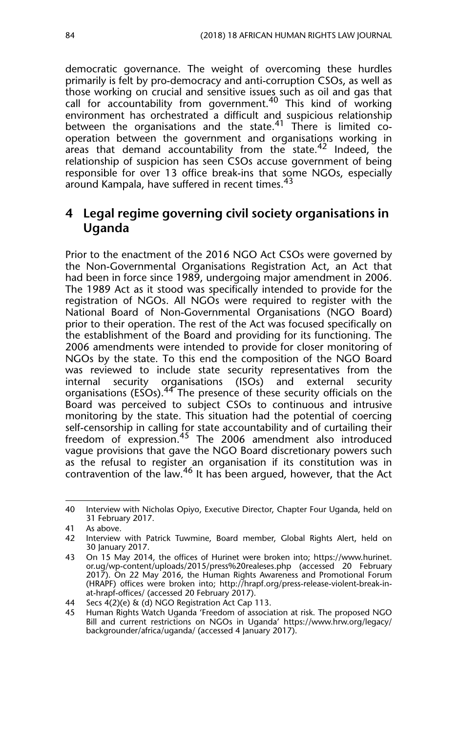democratic governance. The weight of overcoming these hurdles primarily is felt by pro-democracy and anti-corruption CSOs, as well as those working on crucial and sensitive issues such as oil and gas that call for accountability from government.<sup>40</sup> This kind of working environment has orchestrated a difficult and suspicious relationship between the organisations and the state.<sup>41</sup> There is limited cooperation between the government and organisations working in areas that demand accountability from the state.<sup>42</sup> Indeed, the relationship of suspicion has seen CSOs accuse government of being responsible for over 13 office break-ins that some NGOs, especially around Kampala, have suffered in recent times.<sup>43</sup>

## **4 Legal regime governing civil society organisations in Uganda**

Prior to the enactment of the 2016 NGO Act CSOs were governed by the Non-Governmental Organisations Registration Act, an Act that had been in force since 1989, undergoing major amendment in 2006. The 1989 Act as it stood was specifically intended to provide for the registration of NGOs. All NGOs were required to register with the National Board of Non-Governmental Organisations (NGO Board) prior to their operation. The rest of the Act was focused specifically on the establishment of the Board and providing for its functioning. The 2006 amendments were intended to provide for closer monitoring of NGOs by the state. To this end the composition of the NGO Board was reviewed to include state security representatives from the<br>internal security organisations (ISOs) and external security internal security organisations (ISOs) organisations ( $ESS$ ).<sup>44</sup> The presence of these security officials on the Board was perceived to subject CSOs to continuous and intrusive monitoring by the state. This situation had the potential of coercing self-censorship in calling for state accountability and of curtailing their freedom of expression.<sup>45</sup> The 2006 amendment also introduced vague provisions that gave the NGO Board discretionary powers such as the refusal to register an organisation if its constitution was in contravention of the law.<sup>46</sup> It has been argued, however, that the Act

<sup>40</sup> Interview with Nicholas Opiyo, Executive Director, Chapter Four Uganda, held on 31 February 2017.

<sup>41</sup> As above.<br>42 Interview

Interview with Patrick Tuwmine, Board member, Global Rights Alert, held on 30 January 2017.

<sup>43</sup> On 15 May 2014, the offices of Hurinet were broken into; https://www.hurinet. or.ug/wp-content/uploads/2015/press%20realeses.php (accessed 20 February 2017). On 22 May 2016, the Human Rights Awareness and Promotional Forum (HRAPF) offices were broken into; http://hrapf.org/press-release-violent-break-inat-hrapf-offices/ (accessed 20 February 2017).

<sup>44</sup> Secs 4(2)(e) & (d) NGO Registration Act Cap 113.

<sup>45</sup> Human Rights Watch Uganda 'Freedom of association at risk. The proposed NGO Bill and current restrictions on NGOs in Uganda' https://www.hrw.org/legacy/ backgrounder/africa/uganda/ (accessed 4 January 2017).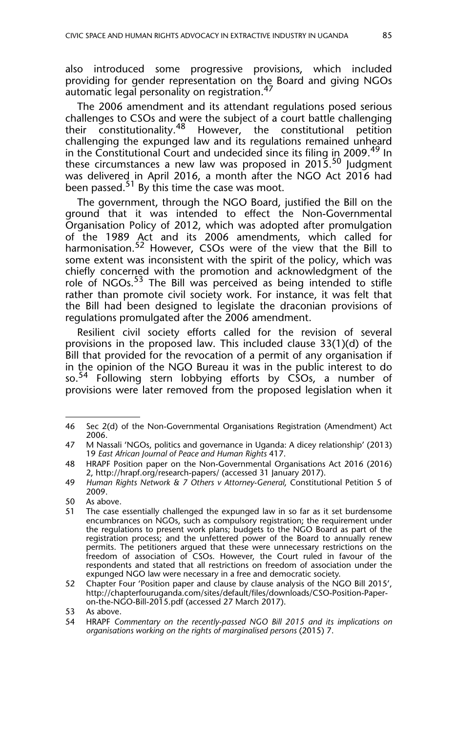also introduced some progressive provisions, which included providing for gender representation on the Board and giving NGOs automatic legal personality on registration.<sup>47</sup>

The 2006 amendment and its attendant regulations posed serious challenges to CSOs and were the subject of a court battle challenging their constitutionality.<sup>48</sup> However, the constitutional petition challenging the expunged law and its regulations remained unheard in the Constitutional Court and undecided since its filing in 2009.<sup>49</sup> In these circumstances a new law was proposed in  $2015<sup>50</sup>$  Judgment was delivered in April 2016, a month after the NGO Act 2016 had been passed.<sup>51</sup> By this time the case was moot.

The government, through the NGO Board, justified the Bill on the ground that it was intended to effect the Non-Governmental Organisation Policy of 2012, which was adopted after promulgation of the 1989 Act and its 2006 amendments, which called for harmonisation.<sup>52</sup> However, CSOs were of the view that the Bill to some extent was inconsistent with the spirit of the policy, which was chiefly concerned with the promotion and acknowledgment of the role of NGOs.<sup>53</sup> The Bill was perceived as being intended to stifle rather than promote civil society work. For instance, it was felt that the Bill had been designed to legislate the draconian provisions of regulations promulgated after the 2006 amendment.

Resilient civil society efforts called for the revision of several provisions in the proposed law. This included clause 33(1)(d) of the Bill that provided for the revocation of a permit of any organisation if in the opinion of the NGO Bureau it was in the public interest to do so.<sup>54</sup> Following stern lobbying efforts by CSOs, a number of provisions were later removed from the proposed legislation when it

<sup>46</sup> Sec 2(d) of the Non-Governmental Organisations Registration (Amendment) Act 2006.

<sup>47</sup> M Nassali 'NGOs, politics and governance in Uganda: A dicey relationship' (2013) 19 *East African Journal of Peace and Human Rights* 417.

<sup>48</sup> HRAPF Position paper on the Non-Governmental Organisations Act 2016 (2016) 2, http://hrapf.org/research-papers/ (accessed 31 January 2017).

<sup>49</sup> *Human Rights Network & 7 Others v Attorney-General*, Constitutional Petition 5 of 2009.

<sup>50</sup> As above.

<sup>51</sup> The case essentially challenged the expunged law in so far as it set burdensome encumbrances on NGOs, such as compulsory registration; the requirement under the regulations to present work plans; budgets to the NGO Board as part of the registration process; and the unfettered power of the Board to annually renew permits. The petitioners argued that these were unnecessary restrictions on the freedom of association of CSOs. However, the Court ruled in favour of the respondents and stated that all restrictions on freedom of association under the expunged NGO law were necessary in a free and democratic society.

<sup>52</sup> Chapter Four 'Position paper and clause by clause analysis of the NGO Bill 2015', http://chapterfouruganda.com/sites/default/files/downloads/CSO-Position-Paperon-the-NGO-Bill-2015.pdf (accessed 27 March 2017).

<sup>53</sup> As above.<br>54 HRAPE Co

<sup>54</sup> HRAPF *Commentary on the recently-passed NGO Bill 2015 and its implications on organisations working on the rights of marginalised persons* (2015) 7.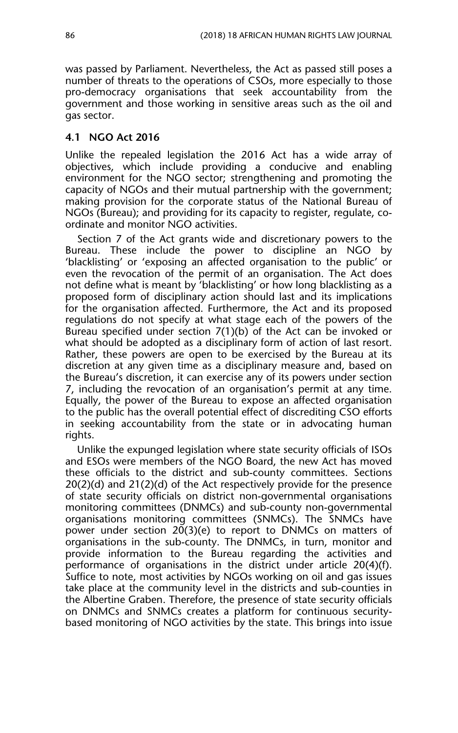was passed by Parliament. Nevertheless, the Act as passed still poses a number of threats to the operations of CSOs, more especially to those pro-democracy organisations that seek accountability from the government and those working in sensitive areas such as the oil and gas sector.

#### **4.1 NGO Act 2016**

Unlike the repealed legislation the 2016 Act has a wide array of objectives, which include providing a conducive and enabling environment for the NGO sector; strengthening and promoting the capacity of NGOs and their mutual partnership with the government; making provision for the corporate status of the National Bureau of NGOs (Bureau); and providing for its capacity to register, regulate, coordinate and monitor NGO activities.

Section 7 of the Act grants wide and discretionary powers to the Bureau. These include the power to discipline an NGO by 'blacklisting' or 'exposing an affected organisation to the public' or even the revocation of the permit of an organisation. The Act does not define what is meant by 'blacklisting' or how long blacklisting as a proposed form of disciplinary action should last and its implications for the organisation affected. Furthermore, the Act and its proposed regulations do not specify at what stage each of the powers of the Bureau specified under section 7(1)(b) of the Act can be invoked or what should be adopted as a disciplinary form of action of last resort. Rather, these powers are open to be exercised by the Bureau at its discretion at any given time as a disciplinary measure and, based on the Bureau's discretion, it can exercise any of its powers under section 7, including the revocation of an organisation's permit at any time. Equally, the power of the Bureau to expose an affected organisation to the public has the overall potential effect of discrediting CSO efforts in seeking accountability from the state or in advocating human rights.

Unlike the expunged legislation where state security officials of ISOs and ESOs were members of the NGO Board, the new Act has moved these officials to the district and sub-county committees. Sections 20(2)(d) and 21(2)(d) of the Act respectively provide for the presence of state security officials on district non-governmental organisations monitoring committees (DNMCs) and sub-county non-governmental organisations monitoring committees (SNMCs). The SNMCs have power under section 20(3)(e) to report to DNMCs on matters of organisations in the sub-county. The DNMCs, in turn, monitor and provide information to the Bureau regarding the activities and performance of organisations in the district under article 20(4)(f). Suffice to note, most activities by NGOs working on oil and gas issues take place at the community level in the districts and sub-counties in the Albertine Graben. Therefore, the presence of state security officials on DNMCs and SNMCs creates a platform for continuous securitybased monitoring of NGO activities by the state. This brings into issue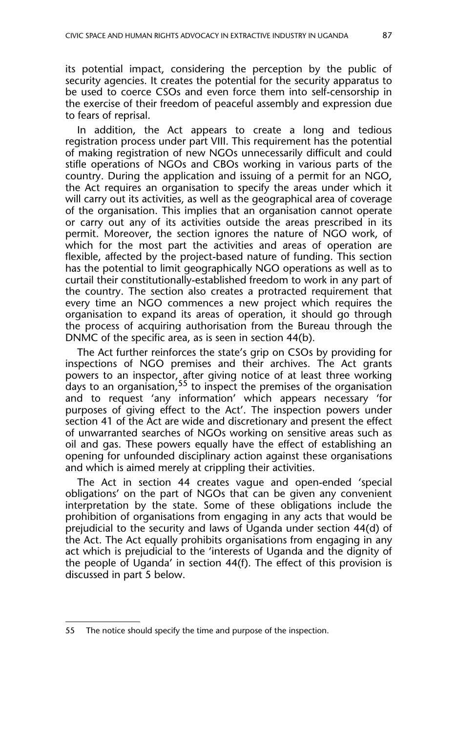its potential impact, considering the perception by the public of security agencies. It creates the potential for the security apparatus to be used to coerce CSOs and even force them into self-censorship in the exercise of their freedom of peaceful assembly and expression due to fears of reprisal.

In addition, the Act appears to create a long and tedious registration process under part VIII. This requirement has the potential of making registration of new NGOs unnecessarily difficult and could stifle operations of NGOs and CBOs working in various parts of the country. During the application and issuing of a permit for an NGO, the Act requires an organisation to specify the areas under which it will carry out its activities, as well as the geographical area of coverage of the organisation. This implies that an organisation cannot operate or carry out any of its activities outside the areas prescribed in its permit. Moreover, the section ignores the nature of NGO work, of which for the most part the activities and areas of operation are flexible, affected by the project-based nature of funding. This section has the potential to limit geographically NGO operations as well as to curtail their constitutionally-established freedom to work in any part of the country. The section also creates a protracted requirement that every time an NGO commences a new project which requires the organisation to expand its areas of operation, it should go through the process of acquiring authorisation from the Bureau through the DNMC of the specific area, as is seen in section 44(b).

The Act further reinforces the state's grip on CSOs by providing for inspections of NGO premises and their archives. The Act grants powers to an inspector, after giving notice of at least three working days to an organisation,  $55$  to inspect the premises of the organisation and to request 'any information' which appears necessary 'for purposes of giving effect to the Act'. The inspection powers under section 41 of the Act are wide and discretionary and present the effect of unwarranted searches of NGOs working on sensitive areas such as oil and gas. These powers equally have the effect of establishing an opening for unfounded disciplinary action against these organisations and which is aimed merely at crippling their activities.

The Act in section 44 creates vague and open-ended 'special obligations' on the part of NGOs that can be given any convenient interpretation by the state. Some of these obligations include the prohibition of organisations from engaging in any acts that would be prejudicial to the security and laws of Uganda under section 44(d) of the Act. The Act equally prohibits organisations from engaging in any act which is prejudicial to the 'interests of Uganda and the dignity of the people of Uganda' in section 44(f). The effect of this provision is discussed in part 5 below.

<sup>55</sup> The notice should specify the time and purpose of the inspection.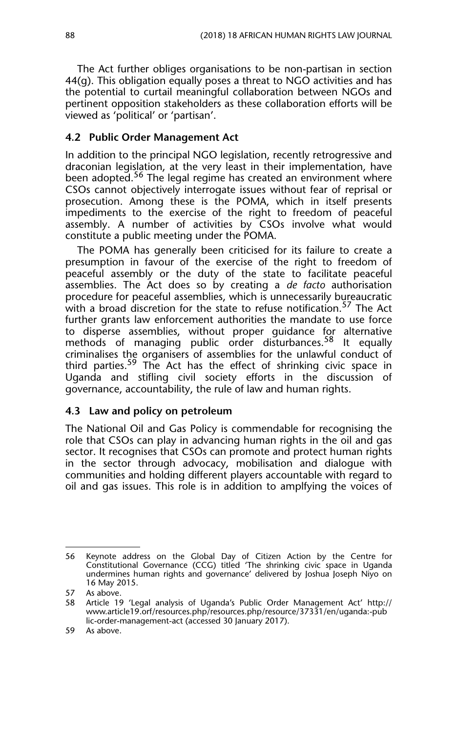The Act further obliges organisations to be non-partisan in section 44(g). This obligation equally poses a threat to NGO activities and has the potential to curtail meaningful collaboration between NGOs and pertinent opposition stakeholders as these collaboration efforts will be viewed as 'political' or 'partisan'.

#### **4.2 Public Order Management Act**

In addition to the principal NGO legislation, recently retrogressive and draconian legislation, at the very least in their implementation, have been adopted.<sup>56</sup> The legal regime has created an environment where CSOs cannot objectively interrogate issues without fear of reprisal or prosecution. Among these is the POMA, which in itself presents impediments to the exercise of the right to freedom of peaceful assembly. A number of activities by CSOs involve what would constitute a public meeting under the POMA.

The POMA has generally been criticised for its failure to create a presumption in favour of the exercise of the right to freedom of peaceful assembly or the duty of the state to facilitate peaceful assemblies. The Act does so by creating a *de facto* authorisation procedure for peaceful assemblies, which is unnecessarily bureaucratic with a broad discretion for the state to refuse notification.<sup>57</sup> The Act further grants law enforcement authorities the mandate to use force to disperse assemblies, without proper guidance for alternative methods of managing public order disturbances.<sup>58</sup> It equally criminalises the organisers of assemblies for the unlawful conduct of third parties.<sup>59</sup> The Act has the effect of shrinking civic space in Uganda and stifling civil society efforts in the discussion of governance, accountability, the rule of law and human rights.

#### **4.3 Law and policy on petroleum**

The National Oil and Gas Policy is commendable for recognising the role that CSOs can play in advancing human rights in the oil and gas sector. It recognises that CSOs can promote and protect human rights in the sector through advocacy, mobilisation and dialogue with communities and holding different players accountable with regard to oil and gas issues. This role is in addition to amplfying the voices of

<sup>56</sup> Keynote address on the Global Day of Citizen Action by the Centre for Constitutional Governance (CCG) titled 'The shrinking civic space in Uganda undermines human rights and governance' delivered by Joshua Joseph Niyo on 16 May 2015.

<sup>57</sup> As above.

<sup>58</sup> Article 19 'Legal analysis of Uganda's Public Order Management Act' http:// www.article19.orf/resources.php/resources.php/resource/37331/en/uganda:-pub lic-order-management-act (accessed 30 January 2017).

<sup>59</sup> As above.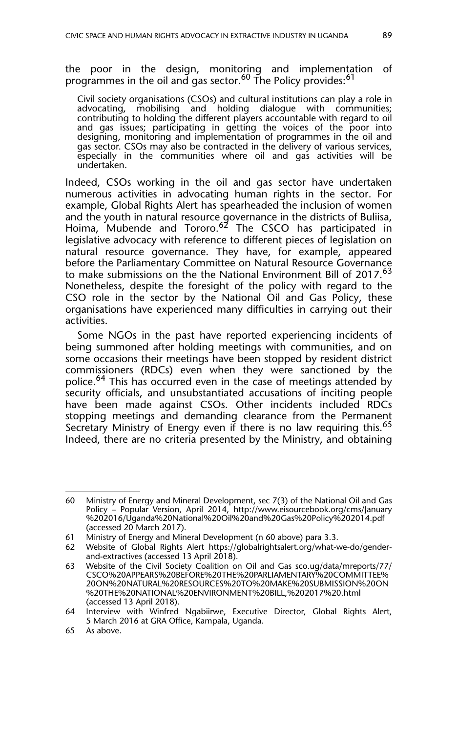the poor in the design, monitoring and implementation of programmes in the oil and gas sector.<sup>60</sup> The Policy provides:<sup>61</sup>

Civil society organisations (CSOs) and cultural institutions can play a role in advocating, mobilising and holding dialogue with communities; contributing to holding the different players accountable with regard to oil and gas issues; participating in getting the voices of the poor into designing, monitoring and implementation of programmes in the oil and gas sector. CSOs may also be contracted in the delivery of various services, especially in the communities where oil and gas activities will be undertaken.

Indeed, CSOs working in the oil and gas sector have undertaken numerous activities in advocating human rights in the sector. For example, Global Rights Alert has spearheaded the inclusion of women and the youth in natural resource governance in the districts of Buliisa, Hoima, Mubende and Tororo.62 The CSCO has participated in legislative advocacy with reference to different pieces of legislation on natural resource governance. They have, for example, appeared before the Parliamentary Committee on Natural Resource Governance to make submissions on the the National Environment Bill of 2017.63 Nonetheless, despite the foresight of the policy with regard to the CSO role in the sector by the National Oil and Gas Policy, these organisations have experienced many difficulties in carrying out their activities.

Some NGOs in the past have reported experiencing incidents of being summoned after holding meetings with communities, and on some occasions their meetings have been stopped by resident district commissioners (RDCs) even when they were sanctioned by the police.<sup>64</sup> This has occurred even in the case of meetings attended by security officials, and unsubstantiated accusations of inciting people have been made against CSOs. Other incidents included RDCs stopping meetings and demanding clearance from the Permanent Secretary Ministry of Energy even if there is no law requiring this.<sup>65</sup> Indeed, there are no criteria presented by the Ministry, and obtaining

<sup>60</sup> Ministry of Energy and Mineral Development, sec 7(3) of the National Oil and Gas Policy – Popular Version, April 2014, http://www.eisourcebook.org/cms/January %202016/Uganda%20National%20Oil%20and%20Gas%20Policy%202014.pdf (accessed 20 March 2017).

<sup>61</sup> Ministry of Energy and Mineral Development (n 60 above) para 3.3.

<sup>62</sup> Website of Global Rights Alert https://globalrightsalert.org/what-we-do/genderand-extractives (accessed 13 April 2018).

<sup>63</sup> Website of the Civil Society Coalition on Oil and Gas sco.ug/data/mreports/77/ CSCO%20APPEARS%20BEFORE%20THE%20PARLIAMENTARY%20COMMITTEE% 20ON%20NATURAL%20RESOURCES%20TO%20MAKE%20SUBMISSION%20ON %20THE%20NATIONAL%20ENVIRONMENT%20BILL,%202017%20.html (accessed 13 April 2018).

<sup>64</sup> Interview with Winfred Ngabiirwe, Executive Director, Global Rights Alert, 5 March 2016 at GRA Office, Kampala, Uganda.

<sup>65</sup> As above.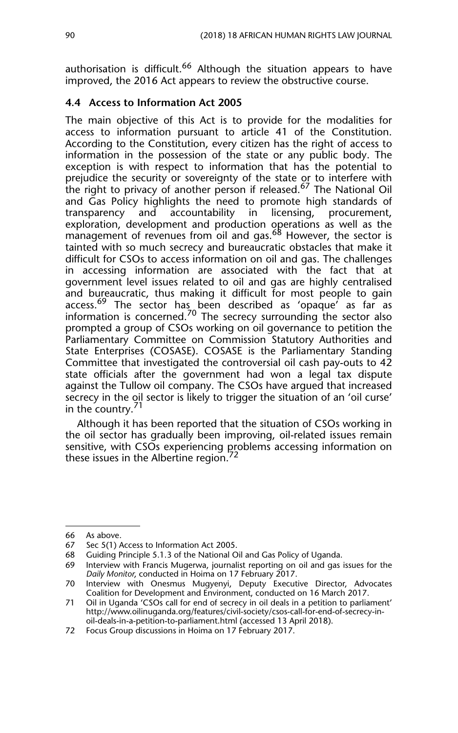authorisation is difficult.<sup>66</sup> Although the situation appears to have improved, the 2016 Act appears to review the obstructive course.

#### **4.4 Access to Information Act 2005**

The main objective of this Act is to provide for the modalities for access to information pursuant to article 41 of the Constitution. According to the Constitution, every citizen has the right of access to information in the possession of the state or any public body. The exception is with respect to information that has the potential to prejudice the security or sovereignty of the state or to interfere with the right to privacy of another person if released.67 The National Oil and Gas Policy highlights the need to promote high standards of transparency and accountability in licensing, procurement, exploration, development and production operations as well as the management of revenues from oil and gas.<sup>68</sup> However, the sector is tainted with so much secrecy and bureaucratic obstacles that make it difficult for CSOs to access information on oil and gas. The challenges in accessing information are associated with the fact that at government level issues related to oil and gas are highly centralised and bureaucratic, thus making it difficult for most people to gain access.<sup>69</sup> The sector has been described as 'opaque' as far as information is concerned.<sup>70</sup> The secrecy surrounding the sector also prompted a group of CSOs working on oil governance to petition the Parliamentary Committee on Commission Statutory Authorities and State Enterprises (COSASE). COSASE is the Parliamentary Standing Committee that investigated the controversial oil cash pay-outs to 42 state officials after the government had won a legal tax dispute against the Tullow oil company. The CSOs have argued that increased secrecy in the oil sector is likely to trigger the situation of an 'oil curse' in the country. $1$ 

Although it has been reported that the situation of CSOs working in the oil sector has gradually been improving, oil-related issues remain sensitive, with CSOs experiencing problems accessing information on these issues in the Albertine region. $^{72}$ 

<sup>66</sup> As above.

<sup>67</sup> Sec 5(1) Access to Information Act 2005.

<sup>68</sup> Guiding Principle 5.1.3 of the National Oil and Gas Policy of Uganda.

<sup>69</sup> Interview with Francis Mugerwa, journalist reporting on oil and gas issues for the *Daily Monitor*, conducted in Hoima on 17 February 2017.

<sup>70</sup> Interview with Onesmus Mugyenyi, Deputy Executive Director, Advocates Coalition for Development and Environment, conducted on 16 March 2017.

<sup>71</sup> Oil in Uganda 'CSOs call for end of secrecy in oil deals in a petition to parliament' http://www.oilinuganda.org/features/civil-society/csos-call-for-end-of-secrecy-inoil-deals-in-a-petition-to-parliament.html (accessed 13 April 2018).

<sup>72</sup> Focus Group discussions in Hoima on 17 February 2017.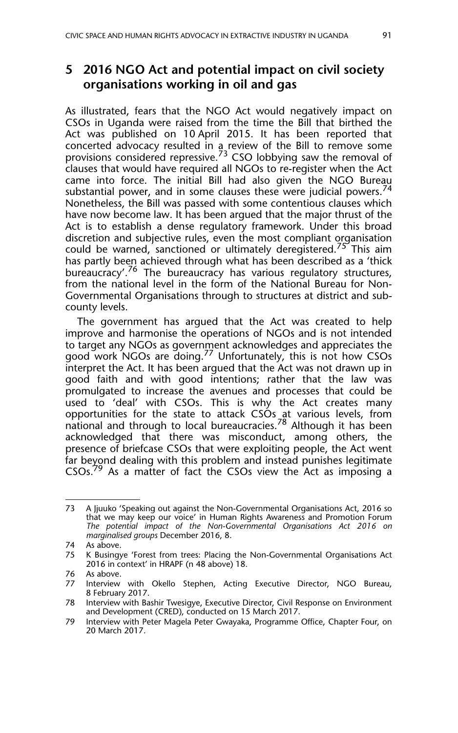## **5 2016 NGO Act and potential impact on civil society organisations working in oil and gas**

As illustrated, fears that the NGO Act would negatively impact on CSOs in Uganda were raised from the time the Bill that birthed the Act was published on 10 April 2015. It has been reported that concerted advocacy resulted in a review of the Bill to remove some provisions considered repressive.73 CSO lobbying saw the removal of clauses that would have required all NGOs to re-register when the Act came into force. The initial Bill had also given the NGO Bureau substantial power, and in some clauses these were judicial powers. $74$ Nonetheless, the Bill was passed with some contentious clauses which have now become law. It has been argued that the major thrust of the Act is to establish a dense regulatory framework. Under this broad discretion and subjective rules, even the most compliant organisation could be warned, sanctioned or ultimately deregistered.<sup>75</sup> This aim has partly been achieved through what has been described as a 'thick bureaucracy'.<sup>76</sup> The bureaucracy has various regulatory structures, from the national level in the form of the National Bureau for Non-Governmental Organisations through to structures at district and subcounty levels.

The government has argued that the Act was created to help improve and harmonise the operations of NGOs and is not intended to target any NGOs as government acknowledges and appreciates the good work NGOs are doing.<sup>77</sup> Unfortunately, this is not how CSOs interpret the Act. It has been argued that the Act was not drawn up in good faith and with good intentions; rather that the law was promulgated to increase the avenues and processes that could be used to 'deal' with CSOs. This is why the Act creates many opportunities for the state to attack CSOs at various levels, from national and through to local bureaucracies.<sup>78</sup> Although it has been acknowledged that there was misconduct, among others, the presence of briefcase CSOs that were exploiting people, the Act went far beyond dealing with this problem and instead punishes legitimate CSOs.<sup>79</sup> As a matter of fact the CSOs view the Act as imposing a

<sup>73</sup> A Jjuuko 'Speaking out against the Non-Governmental Organisations Act, 2016 so that we may keep our voice' in Human Rights Awareness and Promotion Forum *The potential impact of the Non-Governmental Organisations Act 2016 on marginalised groups* December 2016, 8.

<sup>74</sup> As above.

<sup>75</sup> K Busingye 'Forest from trees: Placing the Non-Governmental Organisations Act 2016 in context' in HRAPF (n 48 above) 18.

<sup>76</sup> As above.

<sup>77</sup> Interview with Okello Stephen, Acting Executive Director, NGO Bureau, 8 February 2017.

<sup>78</sup> Interview with Bashir Twesigye, Executive Director, Civil Response on Environment and Development (CRED), conducted on 15 March 2017.

<sup>79</sup> Interview with Peter Magela Peter Gwayaka, Programme Office, Chapter Four, on 20 March 2017.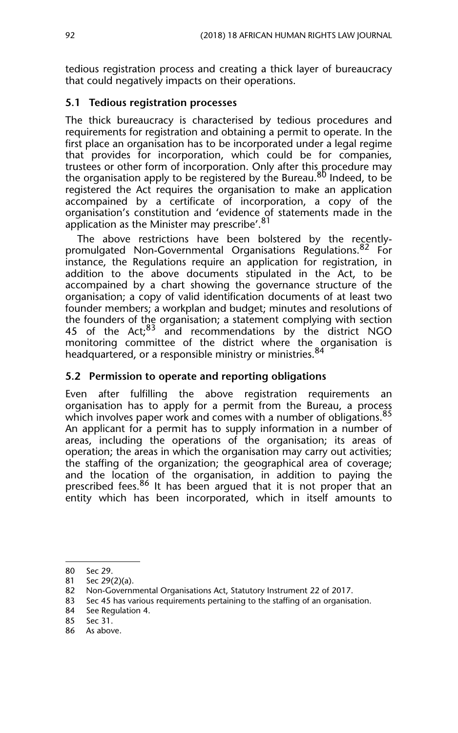tedious registration process and creating a thick layer of bureaucracy that could negatively impacts on their operations.

#### **5.1 Tedious registration processes**

The thick bureaucracy is characterised by tedious procedures and requirements for registration and obtaining a permit to operate. In the first place an organisation has to be incorporated under a legal regime that provides for incorporation, which could be for companies, trustees or other form of incorporation. Only after this procedure may the organisation apply to be registered by the Bureau.<sup>80</sup> Indeed, to be registered the Act requires the organisation to make an application accompained by a certificate of incorporation, a copy of the organisation's constitution and 'evidence of statements made in the application as the Minister may prescribe'.<sup>81</sup>

The above restrictions have been bolstered by the recentlypromulgated Non-Governmental Organisations Regulations.<sup>82</sup> For instance, the Regulations require an application for registration, in addition to the above documents stipulated in the Act, to be accompained by a chart showing the governance structure of the organisation; a copy of valid identification documents of at least two founder members; a workplan and budget; minutes and resolutions of the founders of the organisation; a statement complying with section 45 of the Act; $83$  and recommendations by the district NGO monitoring committee of the district where the organisation is headquartered, or a responsible ministry or ministries.<sup>84</sup>

#### **5.2 Permission to operate and reporting obligations**

Even after fulfilling the above registration requirements an organisation has to apply for a permit from the Bureau, a process which involves paper work and comes with a number of obligations.<sup>85</sup> An applicant for a permit has to supply information in a number of areas, including the operations of the organisation; its areas of operation; the areas in which the organisation may carry out activities; the staffing of the organization; the geographical area of coverage; and the location of the organisation, in addition to paying the prescribed fees.<sup>86</sup> It has been argued that it is not proper that an entity which has been incorporated, which in itself amounts to

<sup>80</sup> Sec 29.

<sup>81</sup> Sec 29(2)(a).

<sup>82</sup> Non-Governmental Organisations Act, Statutory Instrument 22 of 2017.

<sup>83</sup> Sec 45 has various requirements pertaining to the staffing of an organisation.

<sup>84</sup> See Regulation 4.

<sup>85</sup> Sec 31.

<sup>86</sup> As above.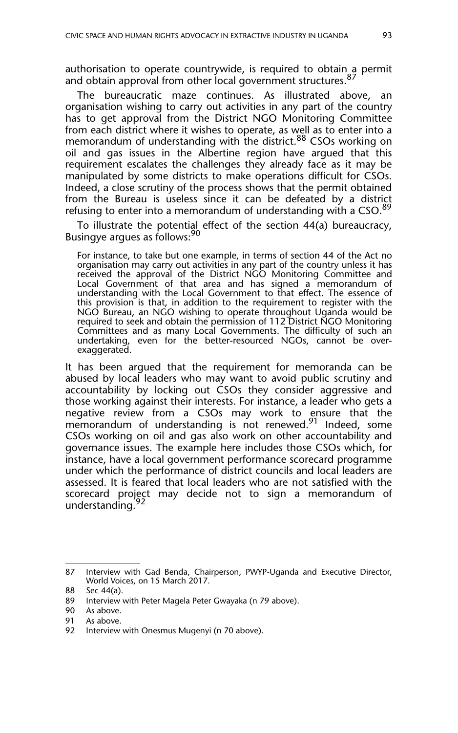authorisation to operate countrywide, is required to obtain a permit and obtain approval from other local government structures.<sup>87</sup>

The bureaucratic maze continues. As illustrated above, an organisation wishing to carry out activities in any part of the country has to get approval from the District NGO Monitoring Committee from each district where it wishes to operate, as well as to enter into a memorandum of understanding with the district.<sup>88</sup> CSOs working on oil and gas issues in the Albertine region have argued that this requirement escalates the challenges they already face as it may be manipulated by some districts to make operations difficult for CSOs. Indeed, a close scrutiny of the process shows that the permit obtained from the Bureau is useless since it can be defeated by a district refusing to enter into a memorandum of understanding with a CSO.89

To illustrate the potential effect of the section 44(a) bureaucracy, Busingye argues as follows:<sup>90</sup>

For instance, to take but one example, in terms of section 44 of the Act no organisation may carry out activities in any part of the country unless it has received the approval of the District NGO Monitoring Committee and Local Government of that area and has signed a memorandum of understanding with the Local Government to that effect. The essence of this provision is that, in addition to the requirement to register with the NGO Bureau, an NGO wishing to operate throughout Uganda would be required to seek and obtain the permission of 112 District NGO Monitoring Committees and as many Local Governments. The difficulty of such an undertaking, even for the better-resourced NGOs, cannot be overexaggerated.

It has been argued that the requirement for memoranda can be abused by local leaders who may want to avoid public scrutiny and accountability by locking out CSOs they consider aggressive and those working against their interests. For instance, a leader who gets a negative review from a CSOs may work to ensure that the memorandum of understanding is not renewed.<sup>91</sup> Indeed, some CSOs working on oil and gas also work on other accountability and governance issues. The example here includes those CSOs which, for instance, have a local government performance scorecard programme under which the performance of district councils and local leaders are assessed. It is feared that local leaders who are not satisfied with the scorecard project may decide not to sign a memorandum of understanding.<sup>92</sup>

<sup>87</sup> Interview with Gad Benda, Chairperson, PWYP-Uganda and Executive Director, World Voices, on 15 March 2017.

<sup>88</sup> Sec 44(a).

<sup>89</sup> Interview with Peter Magela Peter Gwayaka (n 79 above).

<sup>90</sup> As above.

<sup>91</sup> As above.

<sup>92</sup> Interview with Onesmus Mugenyi (n 70 above).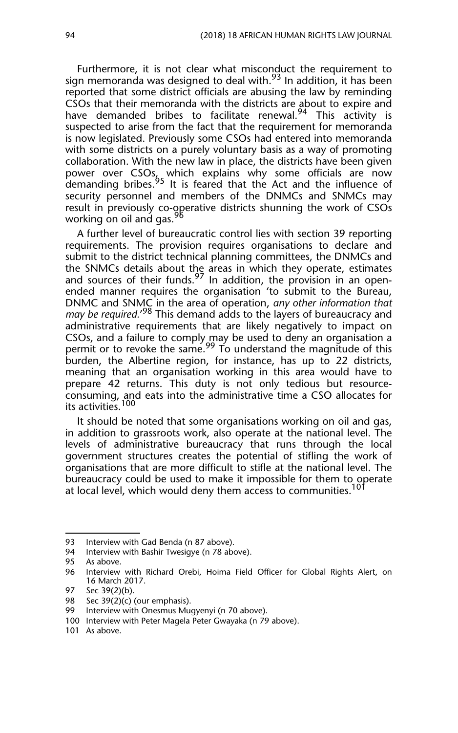Furthermore, it is not clear what misconduct the requirement to sign memoranda was designed to deal with.<sup>93</sup> In addition, it has been reported that some district officials are abusing the law by reminding CSOs that their memoranda with the districts are about to expire and have demanded bribes to facilitate renewal.<sup>94</sup> This activity is suspected to arise from the fact that the requirement for memoranda is now legislated. Previously some CSOs had entered into memoranda with some districts on a purely voluntary basis as a way of promoting collaboration. With the new law in place, the districts have been given power over CSOs, which explains why some officials are now demanding bribes.<sup>95</sup> It is feared that the Act and the influence of security personnel and members of the DNMCs and SNMCs may result in previously co-operative districts shunning the work of CSOs working on oil and gas.<sup>96</sup>

A further level of bureaucratic control lies with section 39 reporting requirements. The provision requires organisations to declare and submit to the district technical planning committees, the DNMCs and the SNMCs details about the areas in which they operate, estimates and sources of their funds.<sup>97</sup> In addition, the provision in an openended manner requires the organisation 'to submit to the Bureau, DNMC and SNMC in the area of operation, *any other information that may be required.*' 98 This demand adds to the layers of bureaucracy and administrative requirements that are likely negatively to impact on CSOs, and a failure to comply may be used to deny an organisation a permit or to revoke the same.<sup>99</sup> To understand the magnitude of this burden, the Albertine region, for instance, has up to 22 districts, meaning that an organisation working in this area would have to prepare 42 returns. This duty is not only tedious but resourceconsuming, and eats into the administrative time a CSO allocates for its activities.<sup>100</sup>

It should be noted that some organisations working on oil and gas, in addition to grassroots work, also operate at the national level. The levels of administrative bureaucracy that runs through the local government structures creates the potential of stifling the work of organisations that are more difficult to stifle at the national level. The bureaucracy could be used to make it impossible for them to operate at local level, which would deny them access to communities.<sup>101</sup>

<sup>93</sup> Interview with Gad Benda (n 87 above).

<sup>94</sup> Interview with Bashir Twesigye (n 78 above).<br>95 As above.

As above.

<sup>96</sup> Interview with Richard Orebi, Hoima Field Officer for Global Rights Alert, on 16 March 2017.

<sup>97</sup> Sec 39(2)(b).

<sup>98</sup> Sec 39(2)(c) (our emphasis).<br>99 Interview with Onesmus Mud

Interview with Onesmus Mugyenyi (n 70 above).

<sup>100</sup> Interview with Peter Magela Peter Gwayaka (n 79 above).

<sup>101</sup> As above.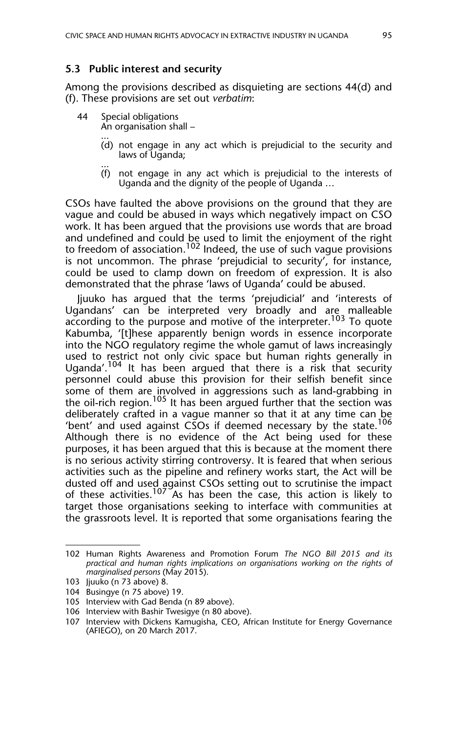#### **5.3 Public interest and security**

Among the provisions described as disquieting are sections 44(d) and (f). These provisions are set out *verbatim*:

- 44 Special obligations An organisation shall –
	- ... (d) not engage in any act which is prejudicial to the security and laws of Uganda;
	- (f) not engage in any act which is prejudicial to the interests of Uganda and the dignity of the people of Uganda …

CSOs have faulted the above provisions on the ground that they are vague and could be abused in ways which negatively impact on CSO work. It has been argued that the provisions use words that are broad and undefined and could be used to limit the enjoyment of the right to freedom of association.<sup>102</sup> Indeed, the use of such vague provisions is not uncommon. The phrase 'prejudicial to security', for instance, could be used to clamp down on freedom of expression. It is also demonstrated that the phrase 'laws of Uganda' could be abused.

Jjuuko has argued that the terms 'prejudicial' and 'interests of Ugandans' can be interpreted very broadly and are malleable according to the purpose and motive of the interpreter.<sup>103</sup> To quote Kabumba, '[t]hese apparently benign words in essence incorporate into the NGO regulatory regime the whole gamut of laws increasingly used to restrict not only civic space but human rights generally in Uganda'.<sup>104</sup> It has been argued that there is a risk that security personnel could abuse this provision for their selfish benefit since some of them are involved in aggressions such as land-grabbing in the oil-rich region.<sup>105</sup> It has been argued further that the section was deliberately crafted in a vague manner so that it at any time can be 'bent' and used against CSOs if deemed necessary by the state.<sup>106</sup> Although there is no evidence of the Act being used for these purposes, it has been argued that this is because at the moment there is no serious activity stirring controversy. It is feared that when serious activities such as the pipeline and refinery works start, the Act will be dusted off and used against CSOs setting out to scrutinise the impact of these activities.<sup>107</sup> As has been the case, this action is likely to target those organisations seeking to interface with communities at the grassroots level. It is reported that some organisations fearing the

<sup>102</sup> Human Rights Awareness and Promotion Forum *The NGO Bill 2015 and its practical and human rights implications on organisations working on the rights of marginalised persons* (May 2015).

<sup>103</sup> Jjuuko (n 73 above) 8.

<sup>104</sup> Busingye (n 75 above) 19.

<sup>105</sup> Interview with Gad Benda (n 89 above).

<sup>106</sup> Interview with Bashir Twesigye (n 80 above).

<sup>107</sup> Interview with Dickens Kamugisha, CEO, African Institute for Energy Governance (AFIEGO), on 20 March 2017.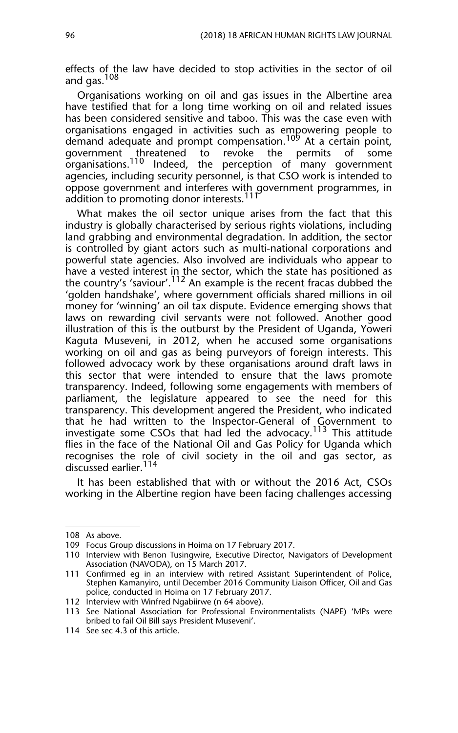effects of the law have decided to stop activities in the sector of oil and gas.<sup>108</sup>

Organisations working on oil and gas issues in the Albertine area have testified that for a long time working on oil and related issues has been considered sensitive and taboo. This was the case even with organisations engaged in activities such as empowering people to demand adequate and prompt compensation.<sup>109</sup> At a certain point, government threatened to revoke the permits of some government threatened to revoke the permits of some organisations.<sup>110</sup> Indeed, the perception of many government agencies, including security personnel, is that CSO work is intended to oppose government and interferes with government programmes, in addition to promoting donor interests. $^{117}$ 

What makes the oil sector unique arises from the fact that this industry is globally characterised by serious rights violations, including land grabbing and environmental degradation. In addition, the sector is controlled by giant actors such as multi-national corporations and powerful state agencies. Also involved are individuals who appear to have a vested interest in the sector, which the state has positioned as the country's 'saviour'.<sup>112</sup> An example is the recent fracas dubbed the 'golden handshake', where government officials shared millions in oil money for 'winning' an oil tax dispute. Evidence emerging shows that laws on rewarding civil servants were not followed. Another good illustration of this is the outburst by the President of Uganda, Yoweri Kaguta Museveni, in 2012, when he accused some organisations working on oil and gas as being purveyors of foreign interests. This followed advocacy work by these organisations around draft laws in this sector that were intended to ensure that the laws promote transparency. Indeed, following some engagements with members of parliament, the legislature appeared to see the need for this transparency. This development angered the President, who indicated that he had written to the Inspector-General of Government to investigate some CSOs that had led the advocacy.113 This attitude flies in the face of the National Oil and Gas Policy for Uganda which recognises the role of civil society in the oil and gas sector, as discussed earlier.<sup>114</sup>

It has been established that with or without the 2016 Act, CSOs working in the Albertine region have been facing challenges accessing

<sup>108</sup> As above.

<sup>109</sup> Focus Group discussions in Hoima on 17 February 2017.

<sup>110</sup> Interview with Benon Tusingwire, Executive Director, Navigators of Development Association (NAVODA), on 15 March 2017.

<sup>111</sup> Confirmed eg in an interview with retired Assistant Superintendent of Police, Stephen Kamanyiro, until December 2016 Community Liaison Officer, Oil and Gas police, conducted in Hoima on 17 February 2017.

<sup>112</sup> Interview with Winfred Ngabiirwe (n 64 above).

<sup>113</sup> See National Association for Professional Environmentalists (NAPE) 'MPs were bribed to fail Oil Bill says President Museveni'.

<sup>114</sup> See sec 4.3 of this article.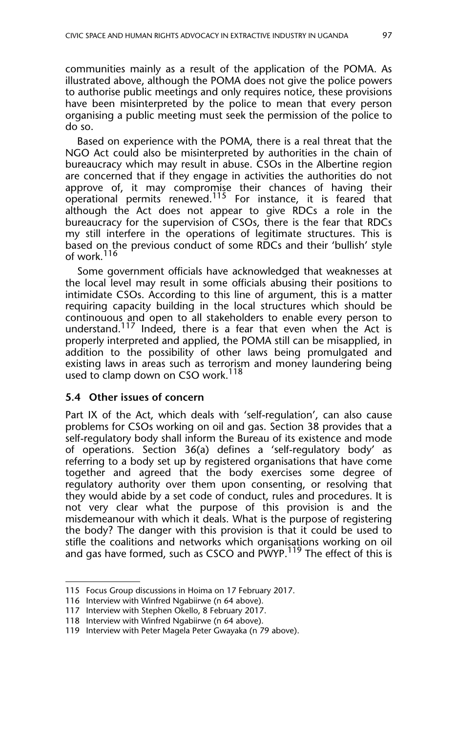communities mainly as a result of the application of the POMA. As illustrated above, although the POMA does not give the police powers to authorise public meetings and only requires notice, these provisions have been misinterpreted by the police to mean that every person organising a public meeting must seek the permission of the police to do so.

Based on experience with the POMA, there is a real threat that the NGO Act could also be misinterpreted by authorities in the chain of bureaucracy which may result in abuse. CSOs in the Albertine region are concerned that if they engage in activities the authorities do not approve of, it may compromise their chances of having their operational permits renewed.115 For instance, it is feared that although the Act does not appear to give RDCs a role in the bureaucracy for the supervision of CSOs, there is the fear that RDCs my still interfere in the operations of legitimate structures. This is based on the previous conduct of some RDCs and their 'bullish' style of work.<sup>116</sup>

Some government officials have acknowledged that weaknesses at the local level may result in some officials abusing their positions to intimidate CSOs. According to this line of argument, this is a matter requiring capacity building in the local structures which should be continouous and open to all stakeholders to enable every person to understand.<sup>117</sup> Indeed, there is a fear that even when the Act is properly interpreted and applied, the POMA still can be misapplied, in addition to the possibility of other laws being promulgated and existing laws in areas such as terrorism and money laundering being used to clamp down on CSO work.<sup>118</sup>

#### **5.4 Other issues of concern**

Part IX of the Act, which deals with 'self-regulation', can also cause problems for CSOs working on oil and gas. Section 38 provides that a self-regulatory body shall inform the Bureau of its existence and mode of operations. Section 36(a) defines a 'self-regulatory body' as referring to a body set up by registered organisations that have come together and agreed that the body exercises some degree of regulatory authority over them upon consenting, or resolving that they would abide by a set code of conduct, rules and procedures. It is not very clear what the purpose of this provision is and the misdemeanour with which it deals. What is the purpose of registering the body? The danger with this provision is that it could be used to stifle the coalitions and networks which organisations working on oil and gas have formed, such as CSCO and PWYP.<sup>119</sup> The effect of this is

<sup>115</sup> Focus Group discussions in Hoima on 17 February 2017.

<sup>116</sup> Interview with Winfred Ngabiirwe (n 64 above).

<sup>117</sup> Interview with Stephen Okello, 8 February 2017.

<sup>118</sup> Interview with Winfred Ngabiirwe (n 64 above).

<sup>119</sup> Interview with Peter Magela Peter Gwayaka (n 79 above).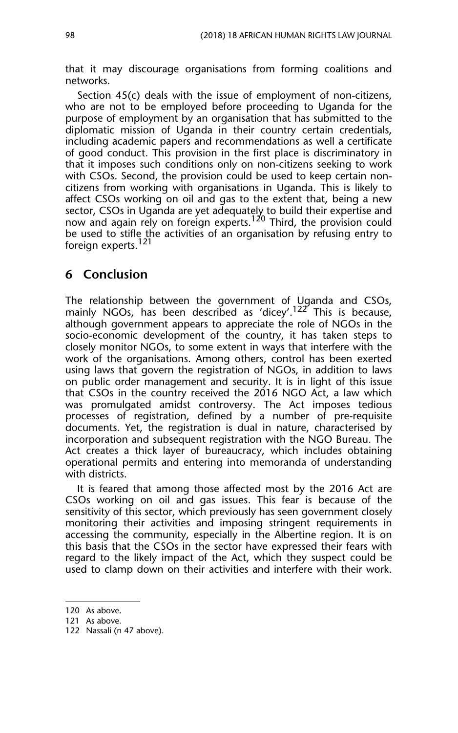that it may discourage organisations from forming coalitions and networks.

Section 45(c) deals with the issue of employment of non-citizens, who are not to be employed before proceeding to Uganda for the purpose of employment by an organisation that has submitted to the diplomatic mission of Uganda in their country certain credentials, including academic papers and recommendations as well a certificate of good conduct. This provision in the first place is discriminatory in that it imposes such conditions only on non-citizens seeking to work with CSOs. Second, the provision could be used to keep certain noncitizens from working with organisations in Uganda. This is likely to affect CSOs working on oil and gas to the extent that, being a new sector, CSOs in Uganda are yet adequately to build their expertise and now and again rely on foreign experts.<sup>120</sup> Third, the provision could be used to stifle the activities of an organisation by refusing entry to foreign experts.<sup>121</sup>

## **6 Conclusion**

The relationship between the government of Uganda and CSOs, mainly NGOs, has been described as 'dicey'.<sup>122</sup> This is because, although government appears to appreciate the role of NGOs in the socio-economic development of the country, it has taken steps to closely monitor NGOs, to some extent in ways that interfere with the work of the organisations. Among others, control has been exerted using laws that govern the registration of NGOs, in addition to laws on public order management and security. It is in light of this issue that CSOs in the country received the 2016 NGO Act, a law which was promulgated amidst controversy. The Act imposes tedious processes of registration, defined by a number of pre-requisite documents. Yet, the registration is dual in nature, characterised by incorporation and subsequent registration with the NGO Bureau. The Act creates a thick layer of bureaucracy, which includes obtaining operational permits and entering into memoranda of understanding with districts.

It is feared that among those affected most by the 2016 Act are CSOs working on oil and gas issues. This fear is because of the sensitivity of this sector, which previously has seen government closely monitoring their activities and imposing stringent requirements in accessing the community, especially in the Albertine region. It is on this basis that the CSOs in the sector have expressed their fears with regard to the likely impact of the Act, which they suspect could be used to clamp down on their activities and interfere with their work.

<sup>120</sup> As above.

<sup>121</sup> As above.

<sup>122</sup> Nassali (n 47 above).